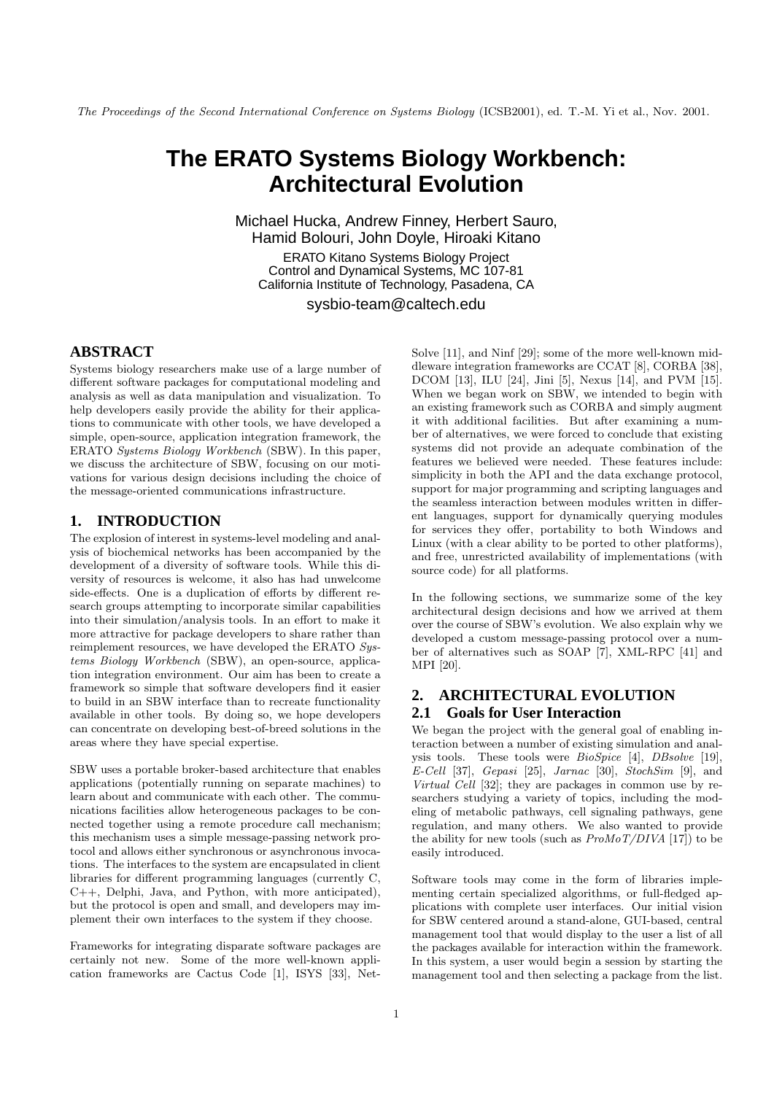The Proceedings of the Second International Conference on Systems Biology (ICSB2001), ed. T.-M. Yi et al., Nov. 2001.

# **The ERATO Systems Biology Workbench: Architectural Evolution**

Michael Hucka, Andrew Finney, Herbert Sauro, Hamid Bolouri, John Doyle, Hiroaki Kitano ERATO Kitano Systems Biology Project Control and Dynamical Systems, MC 107-81 California Institute of Technology, Pasadena, CA

sysbio-team@caltech.edu

# **ABSTRACT**

Systems biology researchers make use of a large number of different software packages for computational modeling and analysis as well as data manipulation and visualization. To help developers easily provide the ability for their applications to communicate with other tools, we have developed a simple, open-source, application integration framework, the ERATO Systems Biology Workbench (SBW). In this paper, we discuss the architecture of SBW, focusing on our motivations for various design decisions including the choice of the message-oriented communications infrastructure.

## **1. INTRODUCTION**

The explosion of interest in systems-level modeling and analysis of biochemical networks has been accompanied by the development of a diversity of software tools. While this diversity of resources is welcome, it also has had unwelcome side-effects. One is a duplication of efforts by different research groups attempting to incorporate similar capabilities into their simulation/analysis tools. In an effort to make it more attractive for package developers to share rather than reimplement resources, we have developed the ERATO Systems Biology Workbench (SBW), an open-source, application integration environment. Our aim has been to create a framework so simple that software developers find it easier to build in an SBW interface than to recreate functionality available in other tools. By doing so, we hope developers can concentrate on developing best-of-breed solutions in the areas where they have special expertise.

SBW uses a portable broker-based architecture that enables applications (potentially running on separate machines) to learn about and communicate with each other. The communications facilities allow heterogeneous packages to be connected together using a remote procedure call mechanism; this mechanism uses a simple message-passing network protocol and allows either synchronous or asynchronous invocations. The interfaces to the system are encapsulated in client libraries for different programming languages (currently C, C++, Delphi, Java, and Python, with more anticipated), but the protocol is open and small, and developers may implement their own interfaces to the system if they choose.

Frameworks for integrating disparate software packages are certainly not new. Some of the more well-known application frameworks are Cactus Code [1], ISYS [33], NetSolve [11], and Ninf [29]; some of the more well-known middleware integration frameworks are CCAT [8], CORBA [38], DCOM [13], ILU [24], Jini [5], Nexus [14], and PVM [15]. When we began work on SBW, we intended to begin with an existing framework such as CORBA and simply augment it with additional facilities. But after examining a number of alternatives, we were forced to conclude that existing systems did not provide an adequate combination of the features we believed were needed. These features include: simplicity in both the API and the data exchange protocol, support for major programming and scripting languages and the seamless interaction between modules written in different languages, support for dynamically querying modules for services they offer, portability to both Windows and Linux (with a clear ability to be ported to other platforms), and free, unrestricted availability of implementations (with source code) for all platforms.

In the following sections, we summarize some of the key architectural design decisions and how we arrived at them over the course of SBW's evolution. We also explain why we developed a custom message-passing protocol over a number of alternatives such as SOAP [7], XML-RPC [41] and MPI [20].

# **2. ARCHITECTURAL EVOLUTION 2.1 Goals for User Interaction**

We began the project with the general goal of enabling interaction between a number of existing simulation and analysis tools. These tools were BioSpice [4], DBsolve [19], E-Cell [37], Gepasi [25], Jarnac [30], StochSim [9], and Virtual Cell [32]; they are packages in common use by researchers studying a variety of topics, including the modeling of metabolic pathways, cell signaling pathways, gene regulation, and many others. We also wanted to provide the ability for new tools (such as  $P_{T}M_{0}T/DIVA$  [17]) to be easily introduced.

Software tools may come in the form of libraries implementing certain specialized algorithms, or full-fledged applications with complete user interfaces. Our initial vision for SBW centered around a stand-alone, GUI-based, central management tool that would display to the user a list of all the packages available for interaction within the framework. In this system, a user would begin a session by starting the management tool and then selecting a package from the list.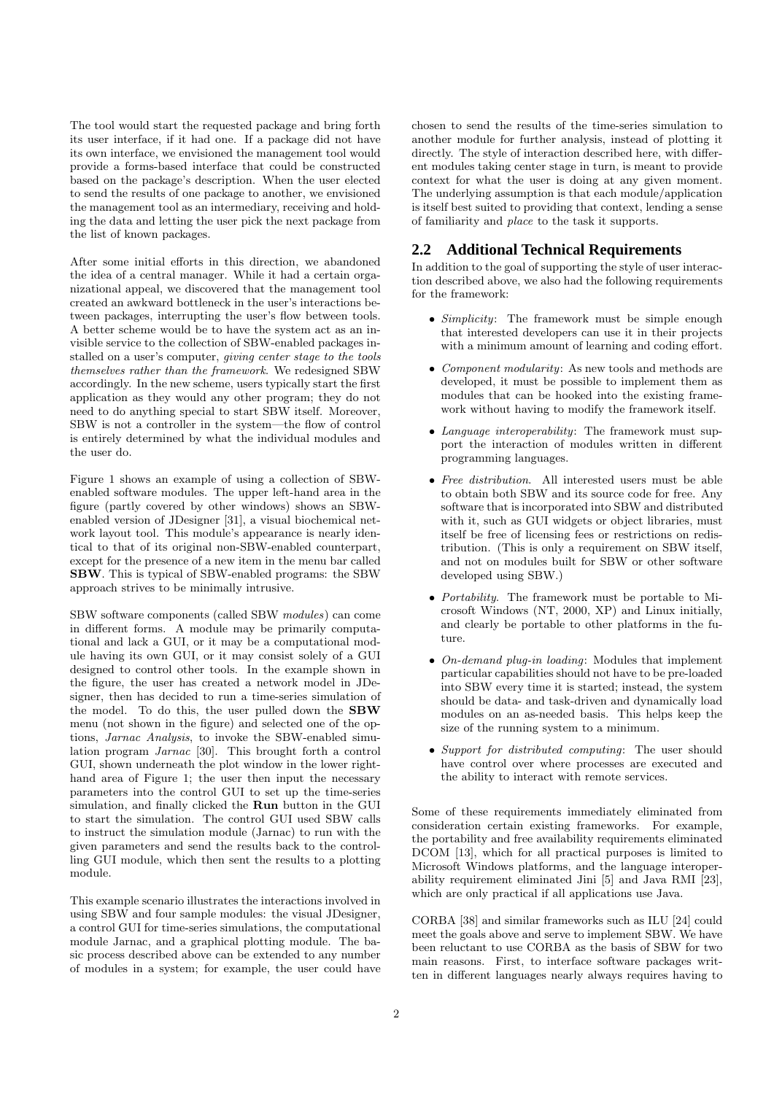The tool would start the requested package and bring forth its user interface, if it had one. If a package did not have its own interface, we envisioned the management tool would provide a forms-based interface that could be constructed based on the package's description. When the user elected to send the results of one package to another, we envisioned the management tool as an intermediary, receiving and holding the data and letting the user pick the next package from the list of known packages.

After some initial efforts in this direction, we abandoned the idea of a central manager. While it had a certain organizational appeal, we discovered that the management tool created an awkward bottleneck in the user's interactions between packages, interrupting the user's flow between tools. A better scheme would be to have the system act as an invisible service to the collection of SBW-enabled packages installed on a user's computer, giving center stage to the tools themselves rather than the framework. We redesigned SBW accordingly. In the new scheme, users typically start the first application as they would any other program; they do not need to do anything special to start SBW itself. Moreover, SBW is not a controller in the system—the flow of control is entirely determined by what the individual modules and the user do.

Figure 1 shows an example of using a collection of SBWenabled software modules. The upper left-hand area in the figure (partly covered by other windows) shows an SBWenabled version of JDesigner [31], a visual biochemical network layout tool. This module's appearance is nearly identical to that of its original non-SBW-enabled counterpart, except for the presence of a new item in the menu bar called SBW. This is typical of SBW-enabled programs: the SBW approach strives to be minimally intrusive.

SBW software components (called SBW modules) can come in different forms. A module may be primarily computational and lack a GUI, or it may be a computational module having its own GUI, or it may consist solely of a GUI designed to control other tools. In the example shown in the figure, the user has created a network model in JDesigner, then has decided to run a time-series simulation of the model. To do this, the user pulled down the SBW menu (not shown in the figure) and selected one of the options, Jarnac Analysis, to invoke the SBW-enabled simulation program Jarnac [30]. This brought forth a control GUI, shown underneath the plot window in the lower righthand area of Figure 1; the user then input the necessary parameters into the control GUI to set up the time-series simulation, and finally clicked the Run button in the GUI to start the simulation. The control GUI used SBW calls to instruct the simulation module (Jarnac) to run with the given parameters and send the results back to the controlling GUI module, which then sent the results to a plotting module.

This example scenario illustrates the interactions involved in using SBW and four sample modules: the visual JDesigner, a control GUI for time-series simulations, the computational module Jarnac, and a graphical plotting module. The basic process described above can be extended to any number of modules in a system; for example, the user could have chosen to send the results of the time-series simulation to another module for further analysis, instead of plotting it directly. The style of interaction described here, with different modules taking center stage in turn, is meant to provide context for what the user is doing at any given moment. The underlying assumption is that each module/application is itself best suited to providing that context, lending a sense of familiarity and place to the task it supports.

#### **2.2 Additional Technical Requirements**

In addition to the goal of supporting the style of user interaction described above, we also had the following requirements for the framework:

- Simplicity: The framework must be simple enough that interested developers can use it in their projects with a minimum amount of learning and coding effort.
- Component modularity: As new tools and methods are developed, it must be possible to implement them as modules that can be hooked into the existing framework without having to modify the framework itself.
- Language interoperability: The framework must support the interaction of modules written in different programming languages.
- Free distribution. All interested users must be able to obtain both SBW and its source code for free. Any software that is incorporated into SBW and distributed with it, such as GUI widgets or object libraries, must itself be free of licensing fees or restrictions on redistribution. (This is only a requirement on SBW itself, and not on modules built for SBW or other software developed using SBW.)
- Portability. The framework must be portable to Microsoft Windows (NT, 2000, XP) and Linux initially, and clearly be portable to other platforms in the future.
- On-demand plug-in loading: Modules that implement particular capabilities should not have to be pre-loaded into SBW every time it is started; instead, the system should be data- and task-driven and dynamically load modules on an as-needed basis. This helps keep the size of the running system to a minimum.
- Support for distributed computing: The user should have control over where processes are executed and the ability to interact with remote services.

Some of these requirements immediately eliminated from consideration certain existing frameworks. For example, the portability and free availability requirements eliminated DCOM [13], which for all practical purposes is limited to Microsoft Windows platforms, and the language interoperability requirement eliminated Jini [5] and Java RMI [23], which are only practical if all applications use Java.

CORBA [38] and similar frameworks such as ILU [24] could meet the goals above and serve to implement SBW. We have been reluctant to use CORBA as the basis of SBW for two main reasons. First, to interface software packages written in different languages nearly always requires having to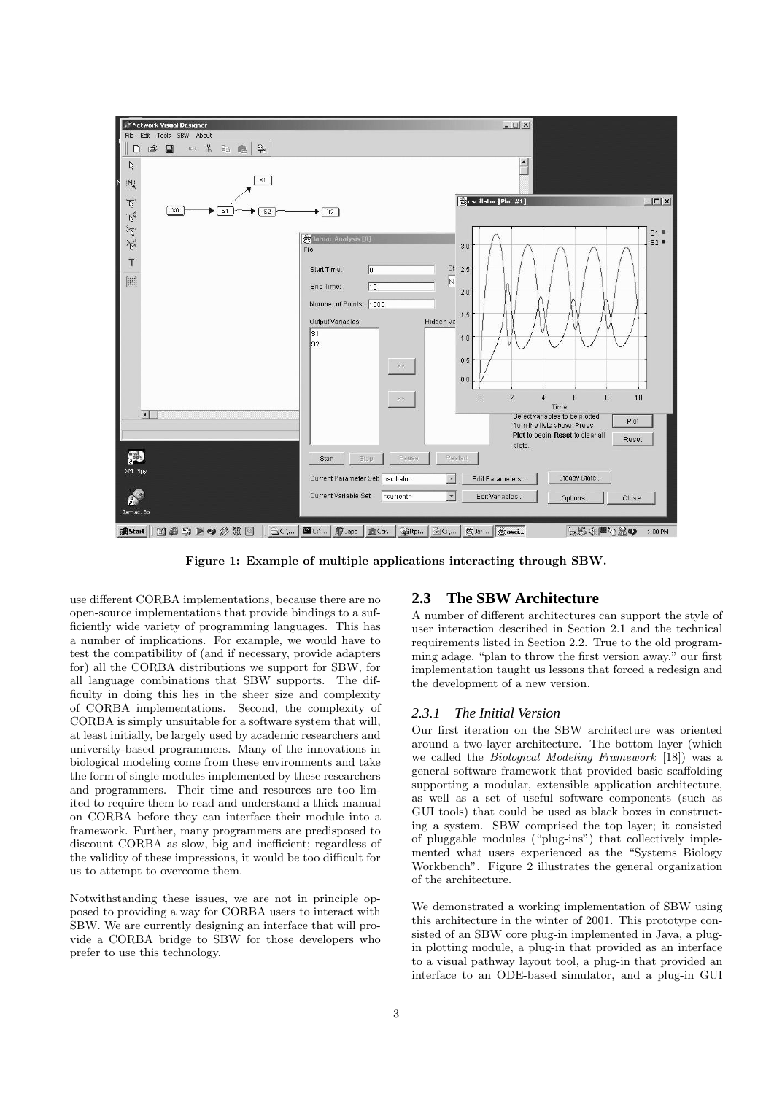

Figure 1: Example of multiple applications interacting through SBW.

use different CORBA implementations, because there are no open-source implementations that provide bindings to a sufficiently wide variety of programming languages. This has a number of implications. For example, we would have to test the compatibility of (and if necessary, provide adapters for) all the CORBA distributions we support for SBW, for all language combinations that SBW supports. The difficulty in doing this lies in the sheer size and complexity of CORBA implementations. Second, the complexity of CORBA is simply unsuitable for a software system that will, at least initially, be largely used by academic researchers and university-based programmers. Many of the innovations in biological modeling come from these environments and take the form of single modules implemented by these researchers and programmers. Their time and resources are too limited to require them to read and understand a thick manual on CORBA before they can interface their module into a framework. Further, many programmers are predisposed to discount CORBA as slow, big and inefficient; regardless of the validity of these impressions, it would be too difficult for us to attempt to overcome them.

Notwithstanding these issues, we are not in principle opposed to providing a way for CORBA users to interact with SBW. We are currently designing an interface that will provide a CORBA bridge to SBW for those developers who prefer to use this technology.

#### **2.3 The SBW Architecture**

A number of different architectures can support the style of user interaction described in Section 2.1 and the technical requirements listed in Section 2.2. True to the old programming adage, "plan to throw the first version away," our first implementation taught us lessons that forced a redesign and the development of a new version.

#### *2.3.1 The Initial Version*

Our first iteration on the SBW architecture was oriented around a two-layer architecture. The bottom layer (which we called the Biological Modeling Framework [18]) was a general software framework that provided basic scaffolding supporting a modular, extensible application architecture, as well as a set of useful software components (such as GUI tools) that could be used as black boxes in constructing a system. SBW comprised the top layer; it consisted of pluggable modules ("plug-ins") that collectively implemented what users experienced as the "Systems Biology Workbench". Figure 2 illustrates the general organization of the architecture.

We demonstrated a working implementation of SBW using this architecture in the winter of 2001. This prototype consisted of an SBW core plug-in implemented in Java, a plugin plotting module, a plug-in that provided as an interface to a visual pathway layout tool, a plug-in that provided an interface to an ODE-based simulator, and a plug-in GUI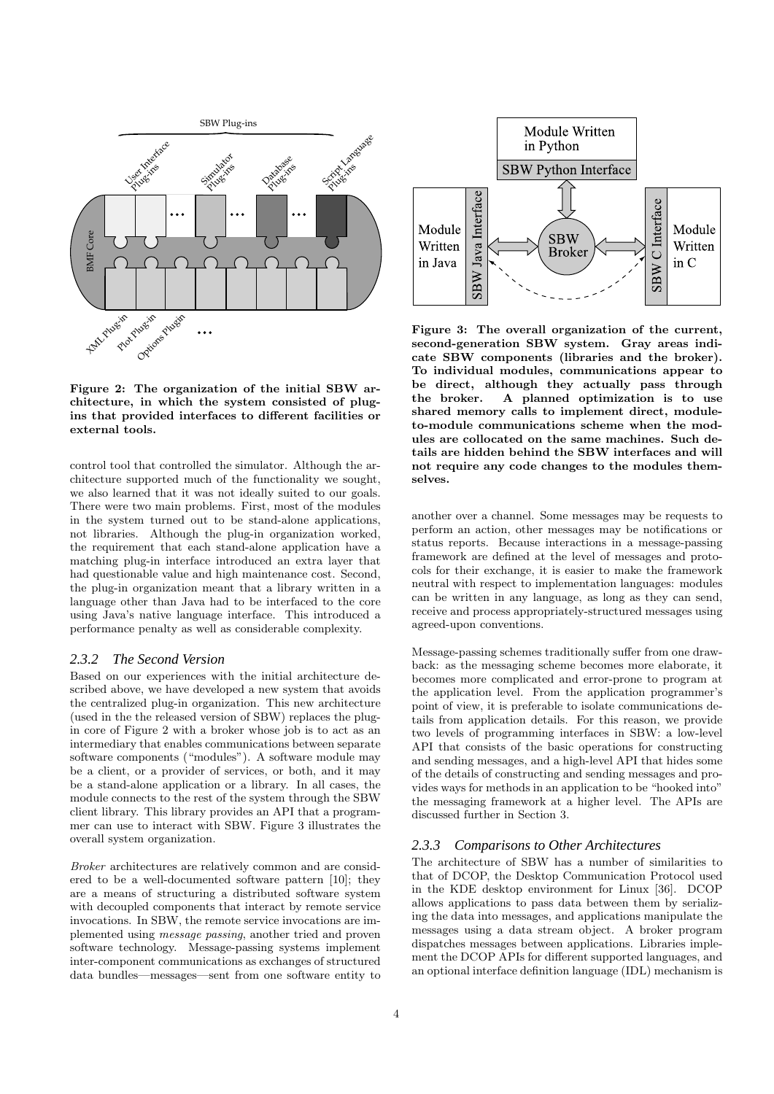

Figure 2: The organization of the initial SBW architecture, in which the system consisted of plugins that provided interfaces to different facilities or external tools.

control tool that controlled the simulator. Although the architecture supported much of the functionality we sought, we also learned that it was not ideally suited to our goals. There were two main problems. First, most of the modules in the system turned out to be stand-alone applications, not libraries. Although the plug-in organization worked, the requirement that each stand-alone application have a matching plug-in interface introduced an extra layer that had questionable value and high maintenance cost. Second, the plug-in organization meant that a library written in a language other than Java had to be interfaced to the core using Java's native language interface. This introduced a performance penalty as well as considerable complexity.

#### *2.3.2 The Second Version*

Based on our experiences with the initial architecture described above, we have developed a new system that avoids the centralized plug-in organization. This new architecture (used in the the released version of SBW) replaces the plugin core of Figure 2 with a broker whose job is to act as an intermediary that enables communications between separate software components ("modules"). A software module may be a client, or a provider of services, or both, and it may be a stand-alone application or a library. In all cases, the module connects to the rest of the system through the SBW client library. This library provides an API that a programmer can use to interact with SBW. Figure 3 illustrates the overall system organization.

Broker architectures are relatively common and are considered to be a well-documented software pattern [10]; they are a means of structuring a distributed software system with decoupled components that interact by remote service invocations. In SBW, the remote service invocations are implemented using message passing, another tried and proven software technology. Message-passing systems implement inter-component communications as exchanges of structured data bundles—messages—sent from one software entity to



Figure 3: The overall organization of the current, second-generation SBW system. Gray areas indicate SBW components (libraries and the broker). To individual modules, communications appear to be direct, although they actually pass through the broker. A planned optimization is to use shared memory calls to implement direct, moduleto-module communications scheme when the modules are collocated on the same machines. Such details are hidden behind the SBW interfaces and will not require any code changes to the modules themselves.

another over a channel. Some messages may be requests to perform an action, other messages may be notifications or status reports. Because interactions in a message-passing framework are defined at the level of messages and protocols for their exchange, it is easier to make the framework neutral with respect to implementation languages: modules can be written in any language, as long as they can send, receive and process appropriately-structured messages using agreed-upon conventions.

Message-passing schemes traditionally suffer from one drawback: as the messaging scheme becomes more elaborate, it becomes more complicated and error-prone to program at the application level. From the application programmer's point of view, it is preferable to isolate communications details from application details. For this reason, we provide two levels of programming interfaces in SBW: a low-level API that consists of the basic operations for constructing and sending messages, and a high-level API that hides some of the details of constructing and sending messages and provides ways for methods in an application to be "hooked into" the messaging framework at a higher level. The APIs are discussed further in Section 3.

#### *2.3.3 Comparisons to Other Architectures*

The architecture of SBW has a number of similarities to that of DCOP, the Desktop Communication Protocol used in the KDE desktop environment for Linux [36]. DCOP allows applications to pass data between them by serializing the data into messages, and applications manipulate the messages using a data stream object. A broker program dispatches messages between applications. Libraries implement the DCOP APIs for different supported languages, and an optional interface definition language (IDL) mechanism is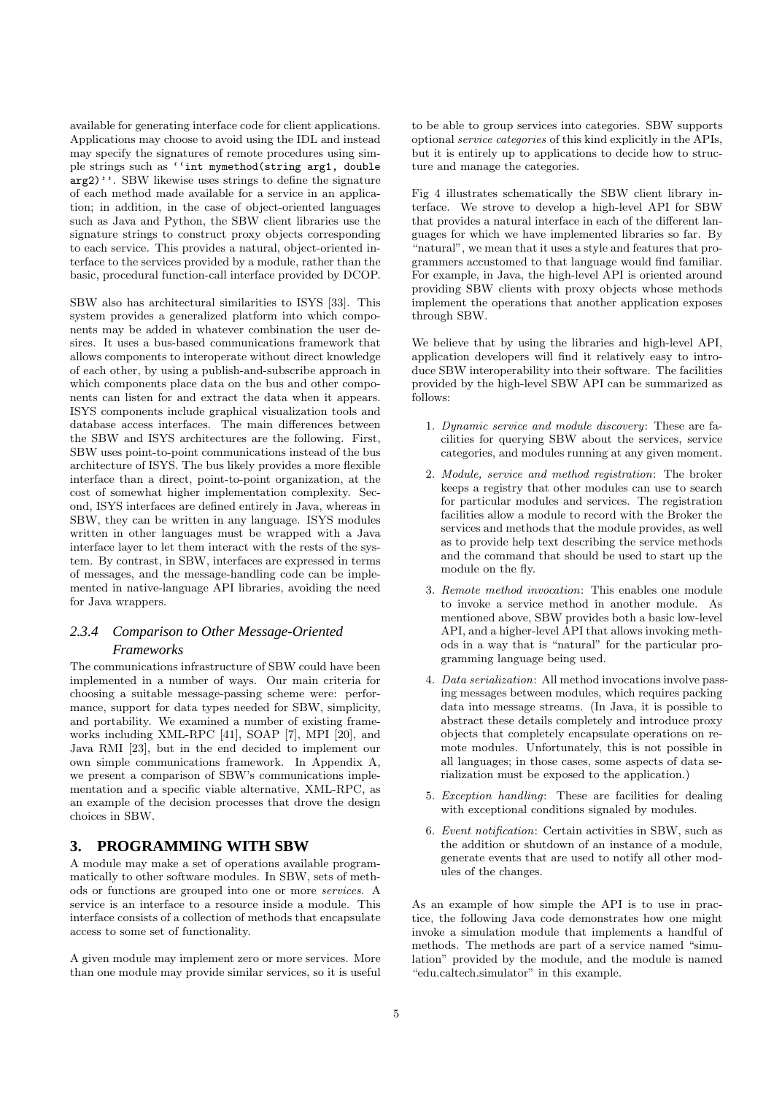available for generating interface code for client applications. Applications may choose to avoid using the IDL and instead may specify the signatures of remote procedures using simple strings such as ''int mymethod(string arg1, double arg2)''. SBW likewise uses strings to define the signature of each method made available for a service in an application; in addition, in the case of object-oriented languages such as Java and Python, the SBW client libraries use the signature strings to construct proxy objects corresponding to each service. This provides a natural, object-oriented interface to the services provided by a module, rather than the basic, procedural function-call interface provided by DCOP.

SBW also has architectural similarities to ISYS [33]. This system provides a generalized platform into which components may be added in whatever combination the user desires. It uses a bus-based communications framework that allows components to interoperate without direct knowledge of each other, by using a publish-and-subscribe approach in which components place data on the bus and other components can listen for and extract the data when it appears. ISYS components include graphical visualization tools and database access interfaces. The main differences between the SBW and ISYS architectures are the following. First, SBW uses point-to-point communications instead of the bus architecture of ISYS. The bus likely provides a more flexible interface than a direct, point-to-point organization, at the cost of somewhat higher implementation complexity. Second, ISYS interfaces are defined entirely in Java, whereas in SBW, they can be written in any language. ISYS modules written in other languages must be wrapped with a Java interface layer to let them interact with the rests of the system. By contrast, in SBW, interfaces are expressed in terms of messages, and the message-handling code can be implemented in native-language API libraries, avoiding the need for Java wrappers.

## *2.3.4 Comparison to Other Message-Oriented Frameworks*

The communications infrastructure of SBW could have been implemented in a number of ways. Our main criteria for choosing a suitable message-passing scheme were: performance, support for data types needed for SBW, simplicity, and portability. We examined a number of existing frameworks including XML-RPC [41], SOAP [7], MPI [20], and Java RMI [23], but in the end decided to implement our own simple communications framework. In Appendix A, we present a comparison of SBW's communications implementation and a specific viable alternative, XML-RPC, as an example of the decision processes that drove the design choices in SBW.

# **3. PROGRAMMING WITH SBW**

A module may make a set of operations available programmatically to other software modules. In SBW, sets of methods or functions are grouped into one or more services. A service is an interface to a resource inside a module. This interface consists of a collection of methods that encapsulate access to some set of functionality.

A given module may implement zero or more services. More than one module may provide similar services, so it is useful to be able to group services into categories. SBW supports optional service categories of this kind explicitly in the APIs, but it is entirely up to applications to decide how to structure and manage the categories.

Fig 4 illustrates schematically the SBW client library interface. We strove to develop a high-level API for SBW that provides a natural interface in each of the different languages for which we have implemented libraries so far. By 'natural", we mean that it uses a style and features that programmers accustomed to that language would find familiar. For example, in Java, the high-level API is oriented around providing SBW clients with proxy objects whose methods implement the operations that another application exposes through SBW.

We believe that by using the libraries and high-level API, application developers will find it relatively easy to introduce SBW interoperability into their software. The facilities provided by the high-level SBW API can be summarized as follows:

- 1. Dynamic service and module discovery: These are facilities for querying SBW about the services, service categories, and modules running at any given moment.
- 2. Module, service and method registration: The broker keeps a registry that other modules can use to search for particular modules and services. The registration facilities allow a module to record with the Broker the services and methods that the module provides, as well as to provide help text describing the service methods and the command that should be used to start up the module on the fly.
- 3. Remote method invocation: This enables one module to invoke a service method in another module. As mentioned above, SBW provides both a basic low-level API, and a higher-level API that allows invoking methods in a way that is "natural" for the particular programming language being used.
- 4. Data serialization: All method invocations involve passing messages between modules, which requires packing data into message streams. (In Java, it is possible to abstract these details completely and introduce proxy objects that completely encapsulate operations on remote modules. Unfortunately, this is not possible in all languages; in those cases, some aspects of data serialization must be exposed to the application.)
- 5. Exception handling: These are facilities for dealing with exceptional conditions signaled by modules.
- 6. Event notification: Certain activities in SBW, such as the addition or shutdown of an instance of a module, generate events that are used to notify all other modules of the changes.

As an example of how simple the API is to use in practice, the following Java code demonstrates how one might invoke a simulation module that implements a handful of methods. The methods are part of a service named "simulation" provided by the module, and the module is named "edu.caltech.simulator" in this example.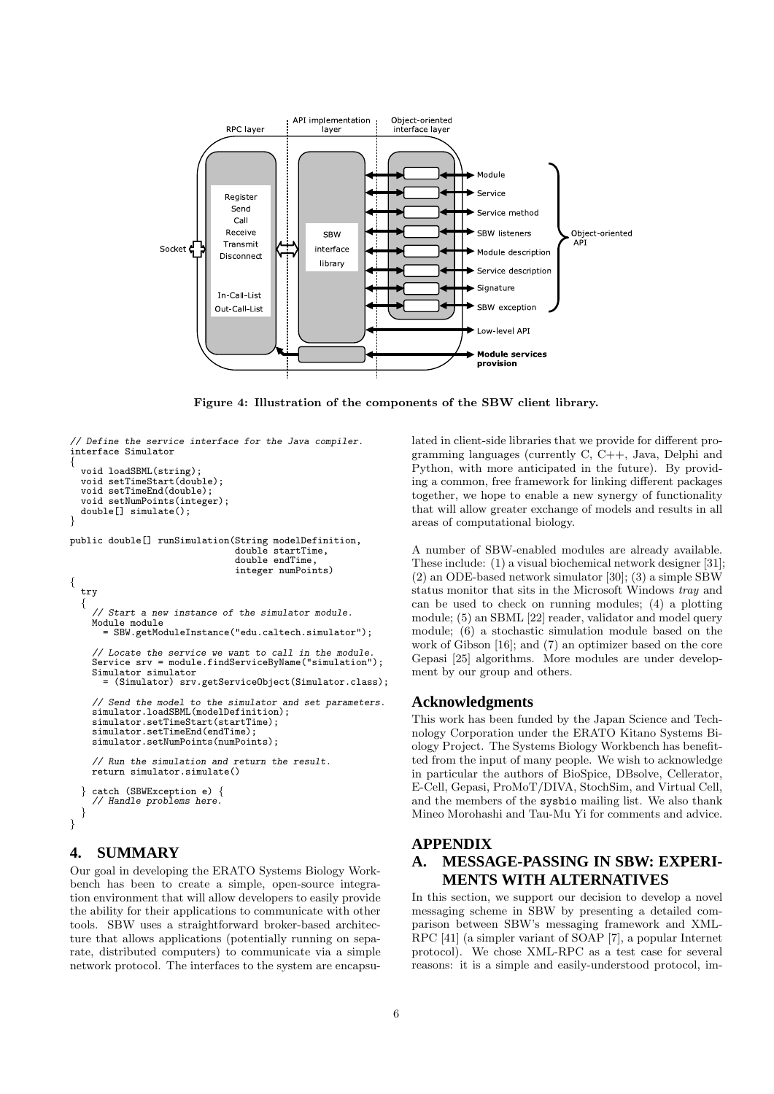

Figure 4: Illustration of the components of the SBW client library.

```
// Define the service interface for the Java compiler.
interface Simulator
{
 void loadSBML(string);
```

```
void setTimeStart(double);
 void setTimeEnd(double);
 void setNumPoints(integer);
 double[] simulate();
}
```
{

public double[] runSimulation(String modelDefinition, double startTime,

```
double endTime,
                              integer numPoints)
try
{
  // Start a new instance of the simulator module.
 Module module
    = SBW.getModuleInstance("edu.caltech.simulator");
  // Locate the service we want to call in the module.
 Service srv = module.findServiceByName("simulation");
 Simulator simulator
   = (Simulator) srv.getServiceObject(Simulator.class);
  // Send the model to the simulator and set parameters.
simulator.loadSBML(modelDefinition);
 simulator.setTimeStart(startTime);
 simulator.setTimeEnd(endTime);
 simulator.setNumPoints(numPoints);
  // Run the simulation and return the result.
 return simulator.simulate()
```

```
} catch (SBWException e) {
    // Handle problems here.
  }
}
```
# **4. SUMMARY**

Our goal in developing the ERATO Systems Biology Workbench has been to create a simple, open-source integration environment that will allow developers to easily provide the ability for their applications to communicate with other tools. SBW uses a straightforward broker-based architecture that allows applications (potentially running on separate, distributed computers) to communicate via a simple network protocol. The interfaces to the system are encapsulated in client-side libraries that we provide for different programming languages (currently C, C++, Java, Delphi and Python, with more anticipated in the future). By providing a common, free framework for linking different packages together, we hope to enable a new synergy of functionality that will allow greater exchange of models and results in all areas of computational biology.

A number of SBW-enabled modules are already available. These include: (1) a visual biochemical network designer [31]; (2) an ODE-based network simulator [30]; (3) a simple SBW status monitor that sits in the Microsoft Windows tray and can be used to check on running modules; (4) a plotting module; (5) an SBML [22] reader, validator and model query module; (6) a stochastic simulation module based on the work of Gibson [16]; and (7) an optimizer based on the core Gepasi [25] algorithms. More modules are under development by our group and others.

#### **Acknowledgments**

This work has been funded by the Japan Science and Technology Corporation under the ERATO Kitano Systems Biology Project. The Systems Biology Workbench has benefitted from the input of many people. We wish to acknowledge in particular the authors of BioSpice, DBsolve, Cellerator, E-Cell, Gepasi, ProMoT/DIVA, StochSim, and Virtual Cell, and the members of the sysbio mailing list. We also thank Mineo Morohashi and Tau-Mu Yi for comments and advice.

## **APPENDIX**

# **A. MESSAGE-PASSING IN SBW: EXPERI-MENTS WITH ALTERNATIVES**

In this section, we support our decision to develop a novel messaging scheme in SBW by presenting a detailed comparison between SBW's messaging framework and XML-RPC [41] (a simpler variant of SOAP [7], a popular Internet protocol). We chose XML-RPC as a test case for several reasons: it is a simple and easily-understood protocol, im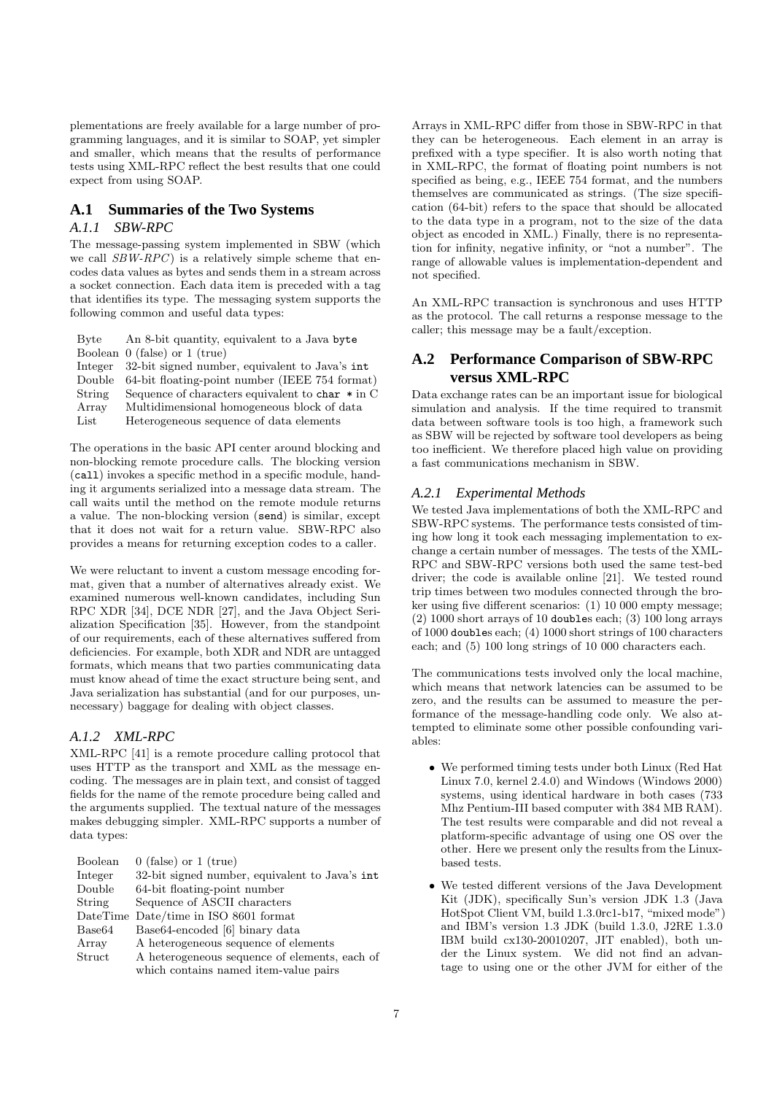plementations are freely available for a large number of programming languages, and it is similar to SOAP, yet simpler and smaller, which means that the results of performance tests using XML-RPC reflect the best results that one could expect from using SOAP.

## **A.1 Summaries of the Two Systems**

#### *A.1.1 SBW-RPC*

The message-passing system implemented in SBW (which we call  $SBW-RPC$ ) is a relatively simple scheme that encodes data values as bytes and sends them in a stream across a socket connection. Each data item is preceded with a tag that identifies its type. The messaging system supports the following common and useful data types:

| Byte   | An 8-bit quantity, equivalent to a Java byte           |
|--------|--------------------------------------------------------|
|        | Boolean $0$ (false) or $1$ (true)                      |
|        | Integer 32-bit signed number, equivalent to Java's int |
| Double | 64-bit floating-point number (IEEE 754 format)         |
| String | Sequence of characters equivalent to char $*$ in C     |
| Array  | Multidimensional homogeneous block of data             |
| List   | Heterogeneous sequence of data elements                |

The operations in the basic API center around blocking and non-blocking remote procedure calls. The blocking version (call) invokes a specific method in a specific module, handing it arguments serialized into a message data stream. The call waits until the method on the remote module returns a value. The non-blocking version (send) is similar, except that it does not wait for a return value. SBW-RPC also provides a means for returning exception codes to a caller.

We were reluctant to invent a custom message encoding format, given that a number of alternatives already exist. We examined numerous well-known candidates, including Sun RPC XDR [34], DCE NDR [27], and the Java Object Serialization Specification [35]. However, from the standpoint of our requirements, each of these alternatives suffered from deficiencies. For example, both XDR and NDR are untagged formats, which means that two parties communicating data must know ahead of time the exact structure being sent, and Java serialization has substantial (and for our purposes, unnecessary) baggage for dealing with object classes.

#### *A.1.2 XML-RPC*

XML-RPC [41] is a remote procedure calling protocol that uses HTTP as the transport and XML as the message encoding. The messages are in plain text, and consist of tagged fields for the name of the remote procedure being called and the arguments supplied. The textual nature of the messages makes debugging simpler. XML-RPC supports a number of data types:

| Boolean            | $0$ (false) or $1$ (true)                      |
|--------------------|------------------------------------------------|
| Integer            | 32-bit signed number, equivalent to Java's int |
| Double             | 64-bit floating-point number                   |
| String             | Sequence of ASCII characters                   |
|                    | DateTime Date/time in ISO 8601 format          |
| Base <sub>64</sub> | Base64-encoded [6] binary data                 |
| Array              | A heterogeneous sequence of elements           |
| Struct             | A heterogeneous sequence of elements, each of  |
|                    | which contains named item-value pairs          |

Arrays in XML-RPC differ from those in SBW-RPC in that they can be heterogeneous. Each element in an array is prefixed with a type specifier. It is also worth noting that in XML-RPC, the format of floating point numbers is not specified as being, e.g., IEEE 754 format, and the numbers themselves are communicated as strings. (The size specification (64-bit) refers to the space that should be allocated to the data type in a program, not to the size of the data object as encoded in XML.) Finally, there is no representation for infinity, negative infinity, or "not a number". The range of allowable values is implementation-dependent and not specified.

An XML-RPC transaction is synchronous and uses HTTP as the protocol. The call returns a response message to the caller; this message may be a fault/exception.

# **A.2 Performance Comparison of SBW-RPC versus XML-RPC**

Data exchange rates can be an important issue for biological simulation and analysis. If the time required to transmit data between software tools is too high, a framework such as SBW will be rejected by software tool developers as being too inefficient. We therefore placed high value on providing a fast communications mechanism in SBW.

## *A.2.1 Experimental Methods*

We tested Java implementations of both the XML-RPC and SBW-RPC systems. The performance tests consisted of timing how long it took each messaging implementation to exchange a certain number of messages. The tests of the XML-RPC and SBW-RPC versions both used the same test-bed driver; the code is available online [21]. We tested round trip times between two modules connected through the broker using five different scenarios: (1) 10 000 empty message; (2) 1000 short arrays of 10 doubles each; (3) 100 long arrays of 1000 doubles each; (4) 1000 short strings of 100 characters each; and (5) 100 long strings of 10 000 characters each.

The communications tests involved only the local machine, which means that network latencies can be assumed to be zero, and the results can be assumed to measure the performance of the message-handling code only. We also attempted to eliminate some other possible confounding variables:

- We performed timing tests under both Linux (Red Hat Linux 7.0, kernel 2.4.0) and Windows (Windows 2000) systems, using identical hardware in both cases (733 Mhz Pentium-III based computer with 384 MB RAM). The test results were comparable and did not reveal a platform-specific advantage of using one OS over the other. Here we present only the results from the Linuxbased tests.
- We tested different versions of the Java Development Kit (JDK), specifically Sun's version JDK 1.3 (Java HotSpot Client VM, build 1.3.0rc1-b17, "mixed mode") and IBM's version 1.3 JDK (build 1.3.0, J2RE 1.3.0 IBM build cx130-20010207, JIT enabled), both under the Linux system. We did not find an advantage to using one or the other JVM for either of the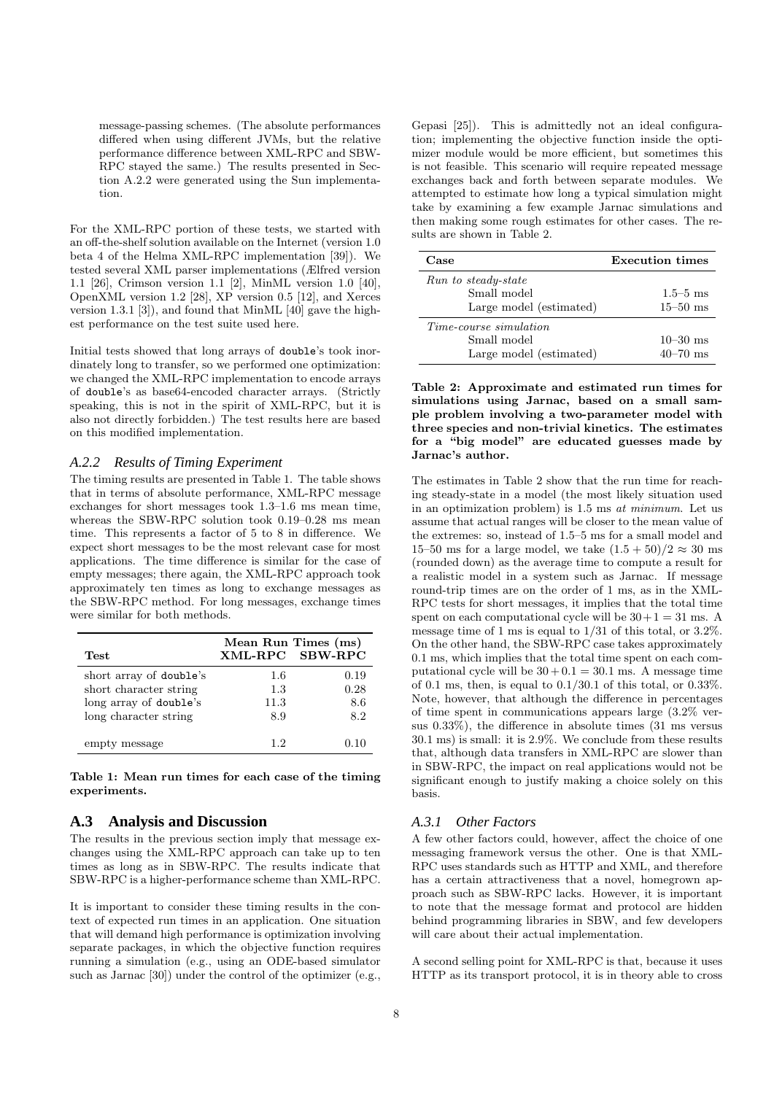message-passing schemes. (The absolute performances differed when using different JVMs, but the relative performance difference between XML-RPC and SBW-RPC stayed the same.) The results presented in Section A.2.2 were generated using the Sun implementation.

For the XML-RPC portion of these tests, we started with an off-the-shelf solution available on the Internet (version 1.0 beta 4 of the Helma XML-RPC implementation [39]). We tested several XML parser implementations (Ælfred version 1.1 [26], Crimson version 1.1 [2], MinML version 1.0 [40], OpenXML version 1.2 [28], XP version 0.5 [12], and Xerces version 1.3.1 [3]), and found that MinML [40] gave the highest performance on the test suite used here.

Initial tests showed that long arrays of double's took inordinately long to transfer, so we performed one optimization: we changed the XML-RPC implementation to encode arrays of double's as base64-encoded character arrays. (Strictly speaking, this is not in the spirit of XML-RPC, but it is also not directly forbidden.) The test results here are based on this modified implementation.

#### *A.2.2 Results of Timing Experiment*

The timing results are presented in Table 1. The table shows that in terms of absolute performance, XML-RPC message exchanges for short messages took 1.3–1.6 ms mean time, whereas the SBW-RPC solution took 0.19–0.28 ms mean time. This represents a factor of 5 to 8 in difference. We expect short messages to be the most relevant case for most applications. The time difference is similar for the case of empty messages; there again, the XML-RPC approach took approximately ten times as long to exchange messages as the SBW-RPC method. For long messages, exchange times were similar for both methods.

| Test                    | Mean Run Times (ms)<br>XML-RPC SBW-RPC |      |
|-------------------------|----------------------------------------|------|
| short array of double's | 1.6                                    | 0.19 |
| short character string  | 1.3                                    | 0.28 |
| long array of double's  | 11.3                                   | 8.6  |
| long character string   | 8.9                                    | 8.2  |
| empty message           | 12                                     | በ 1በ |

Table 1: Mean run times for each case of the timing experiments.

# **A.3 Analysis and Discussion**

The results in the previous section imply that message exchanges using the XML-RPC approach can take up to ten times as long as in SBW-RPC. The results indicate that SBW-RPC is a higher-performance scheme than XML-RPC.

It is important to consider these timing results in the context of expected run times in an application. One situation that will demand high performance is optimization involving separate packages, in which the objective function requires running a simulation (e.g., using an ODE-based simulator such as Jarnac [30]) under the control of the optimizer (e.g.,

Gepasi [25]). This is admittedly not an ideal configuration; implementing the objective function inside the optimizer module would be more efficient, but sometimes this is not feasible. This scenario will require repeated message exchanges back and forth between separate modules. We attempted to estimate how long a typical simulation might take by examining a few example Jarnac simulations and then making some rough estimates for other cases. The results are shown in Table 2.

| Case                    | Execution times |
|-------------------------|-----------------|
| Run to steady-state     |                 |
| Small model             | $1.5 - 5$ ms    |
| Large model (estimated) | $15 - 50$ ms    |
| Time-course simulation  |                 |
| Small model             | $10 - 30$ ms    |
| Large model (estimated) | $40 - 70$ ms    |

Table 2: Approximate and estimated run times for simulations using Jarnac, based on a small sample problem involving a two-parameter model with three species and non-trivial kinetics. The estimates for a "big model" are educated guesses made by Jarnac's author.

The estimates in Table 2 show that the run time for reaching steady-state in a model (the most likely situation used in an optimization problem) is 1.5 ms at minimum. Let us assume that actual ranges will be closer to the mean value of the extremes: so, instead of 1.5–5 ms for a small model and 15–50 ms for a large model, we take  $(1.5 + 50)/2 \approx 30$  ms (rounded down) as the average time to compute a result for a realistic model in a system such as Jarnac. If message round-trip times are on the order of 1 ms, as in the XML-RPC tests for short messages, it implies that the total time spent on each computational cycle will be  $30+1=31$  ms. A message time of 1 ms is equal to 1/31 of this total, or 3.2%. On the other hand, the SBW-RPC case takes approximately 0.1 ms, which implies that the total time spent on each computational cycle will be  $30 + 0.1 = 30.1$  ms. A message time of 0.1 ms, then, is equal to  $0.1/30.1$  of this total, or  $0.33\%$ . Note, however, that although the difference in percentages of time spent in communications appears large (3.2% versus 0.33%), the difference in absolute times (31 ms versus 30.1 ms) is small: it is 2.9%. We conclude from these results that, although data transfers in XML-RPC are slower than in SBW-RPC, the impact on real applications would not be significant enough to justify making a choice solely on this basis.

# *A.3.1 Other Factors*

A few other factors could, however, affect the choice of one messaging framework versus the other. One is that XML-RPC uses standards such as HTTP and XML, and therefore has a certain attractiveness that a novel, homegrown approach such as SBW-RPC lacks. However, it is important to note that the message format and protocol are hidden behind programming libraries in SBW, and few developers will care about their actual implementation.

A second selling point for XML-RPC is that, because it uses HTTP as its transport protocol, it is in theory able to cross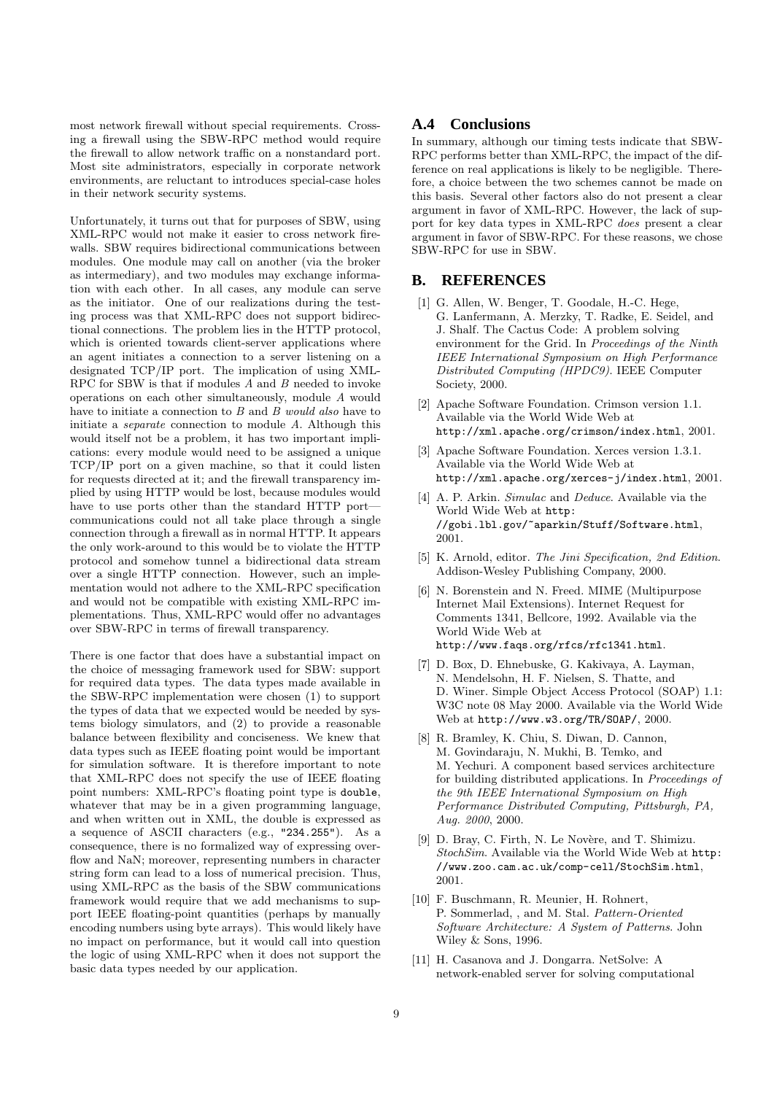most network firewall without special requirements. Crossing a firewall using the SBW-RPC method would require the firewall to allow network traffic on a nonstandard port. Most site administrators, especially in corporate network environments, are reluctant to introduces special-case holes in their network security systems.

Unfortunately, it turns out that for purposes of SBW, using XML-RPC would not make it easier to cross network firewalls. SBW requires bidirectional communications between modules. One module may call on another (via the broker as intermediary), and two modules may exchange information with each other. In all cases, any module can serve as the initiator. One of our realizations during the testing process was that XML-RPC does not support bidirectional connections. The problem lies in the HTTP protocol, which is oriented towards client-server applications where an agent initiates a connection to a server listening on a designated TCP/IP port. The implication of using XML-RPC for SBW is that if modules A and B needed to invoke operations on each other simultaneously, module A would have to initiate a connection to B and B would also have to initiate a separate connection to module A. Although this would itself not be a problem, it has two important implications: every module would need to be assigned a unique TCP/IP port on a given machine, so that it could listen for requests directed at it; and the firewall transparency implied by using HTTP would be lost, because modules would have to use ports other than the standard HTTP portcommunications could not all take place through a single connection through a firewall as in normal HTTP. It appears the only work-around to this would be to violate the HTTP protocol and somehow tunnel a bidirectional data stream over a single HTTP connection. However, such an implementation would not adhere to the XML-RPC specification and would not be compatible with existing XML-RPC implementations. Thus, XML-RPC would offer no advantages over SBW-RPC in terms of firewall transparency.

There is one factor that does have a substantial impact on the choice of messaging framework used for SBW: support for required data types. The data types made available in the SBW-RPC implementation were chosen (1) to support the types of data that we expected would be needed by systems biology simulators, and (2) to provide a reasonable balance between flexibility and conciseness. We knew that data types such as IEEE floating point would be important for simulation software. It is therefore important to note that XML-RPC does not specify the use of IEEE floating point numbers: XML-RPC's floating point type is double, whatever that may be in a given programming language, and when written out in XML, the double is expressed as a sequence of ASCII characters (e.g., "234.255"). As a consequence, there is no formalized way of expressing overflow and NaN; moreover, representing numbers in character string form can lead to a loss of numerical precision. Thus, using XML-RPC as the basis of the SBW communications framework would require that we add mechanisms to support IEEE floating-point quantities (perhaps by manually encoding numbers using byte arrays). This would likely have no impact on performance, but it would call into question the logic of using XML-RPC when it does not support the basic data types needed by our application.

## **A.4 Conclusions**

In summary, although our timing tests indicate that SBW-RPC performs better than XML-RPC, the impact of the difference on real applications is likely to be negligible. Therefore, a choice between the two schemes cannot be made on this basis. Several other factors also do not present a clear argument in favor of XML-RPC. However, the lack of support for key data types in XML-RPC does present a clear argument in favor of SBW-RPC. For these reasons, we chose SBW-RPC for use in SBW.

#### **B. REFERENCES**

- [1] G. Allen, W. Benger, T. Goodale, H.-C. Hege, G. Lanfermann, A. Merzky, T. Radke, E. Seidel, and J. Shalf. The Cactus Code: A problem solving environment for the Grid. In Proceedings of the Ninth IEEE International Symposium on High Performance Distributed Computing (HPDC9). IEEE Computer Society, 2000.
- [2] Apache Software Foundation. Crimson version 1.1. Available via the World Wide Web at http://xml.apache.org/crimson/index.html, 2001.
- [3] Apache Software Foundation. Xerces version 1.3.1. Available via the World Wide Web at http://xml.apache.org/xerces-j/index.html, 2001.
- [4] A. P. Arkin. *Simulac* and *Deduce*. Available via the World Wide Web at http: //gobi.lbl.gov/~aparkin/Stuff/Software.html, 2001.
- [5] K. Arnold, editor. The Jini Specification, 2nd Edition. Addison-Wesley Publishing Company, 2000.
- [6] N. Borenstein and N. Freed. MIME (Multipurpose Internet Mail Extensions). Internet Request for Comments 1341, Bellcore, 1992. Available via the World Wide Web at http://www.faqs.org/rfcs/rfc1341.html.
- [7] D. Box, D. Ehnebuske, G. Kakivaya, A. Layman, N. Mendelsohn, H. F. Nielsen, S. Thatte, and D. Winer. Simple Object Access Protocol (SOAP) 1.1: W3C note 08 May 2000. Available via the World Wide Web at http://www.w3.org/TR/SOAP/, 2000.
- [8] R. Bramley, K. Chiu, S. Diwan, D. Cannon, M. Govindaraju, N. Mukhi, B. Temko, and M. Yechuri. A component based services architecture for building distributed applications. In Proceedings of the 9th IEEE International Symposium on High Performance Distributed Computing, Pittsburgh, PA, Aug. 2000, 2000.
- [9] D. Bray, C. Firth, N. Le Novère, and T. Shimizu. StochSim. Available via the World Wide Web at http: //www.zoo.cam.ac.uk/comp-cell/StochSim.html, 2001.
- [10] F. Buschmann, R. Meunier, H. Rohnert, P. Sommerlad, , and M. Stal. Pattern-Oriented Software Architecture: A System of Patterns. John Wiley & Sons, 1996.
- [11] H. Casanova and J. Dongarra. NetSolve: A network-enabled server for solving computational